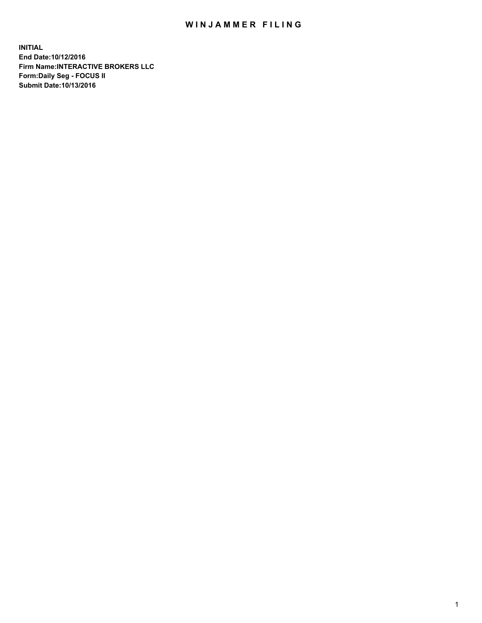## WIN JAMMER FILING

**INITIAL End Date:10/12/2016 Firm Name:INTERACTIVE BROKERS LLC Form:Daily Seg - FOCUS II Submit Date:10/13/2016**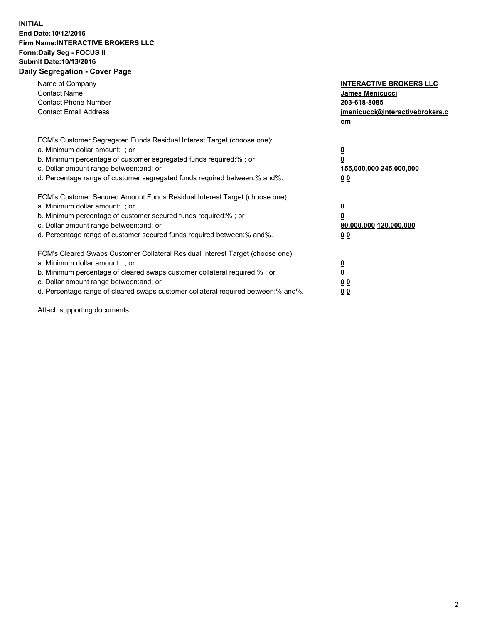## **INITIAL End Date:10/12/2016 Firm Name:INTERACTIVE BROKERS LLC Form:Daily Seg - FOCUS II Submit Date:10/13/2016 Daily Segregation - Cover Page**

| Name of Company<br><b>Contact Name</b><br><b>Contact Phone Number</b><br><b>Contact Email Address</b>                                                                                                                                                                                                                          | <b>INTERACTIVE BROKERS LLC</b><br>James Menicucci<br>203-618-8085<br><u>jmenicucci@interactivebrokers.c</u><br>om |
|--------------------------------------------------------------------------------------------------------------------------------------------------------------------------------------------------------------------------------------------------------------------------------------------------------------------------------|-------------------------------------------------------------------------------------------------------------------|
| FCM's Customer Segregated Funds Residual Interest Target (choose one):<br>a. Minimum dollar amount: ; or<br>b. Minimum percentage of customer segregated funds required:%; or<br>c. Dollar amount range between: and; or<br>d. Percentage range of customer segregated funds required between:% and%.                          | $\overline{\mathbf{0}}$<br>0<br>155,000,000 245,000,000<br>0 <sub>0</sub>                                         |
| FCM's Customer Secured Amount Funds Residual Interest Target (choose one):<br>a. Minimum dollar amount: ; or<br>b. Minimum percentage of customer secured funds required:%; or<br>c. Dollar amount range between: and; or<br>d. Percentage range of customer secured funds required between:% and%.                            | $\overline{\mathbf{0}}$<br>$\overline{\mathbf{0}}$<br>80,000,000 120,000,000<br>00                                |
| FCM's Cleared Swaps Customer Collateral Residual Interest Target (choose one):<br>a. Minimum dollar amount: ; or<br>b. Minimum percentage of cleared swaps customer collateral required:% ; or<br>c. Dollar amount range between: and; or<br>d. Percentage range of cleared swaps customer collateral required between:% and%. | $\overline{\mathbf{0}}$<br>$\overline{\mathbf{0}}$<br>0 <sub>0</sub><br><u>00</u>                                 |

Attach supporting documents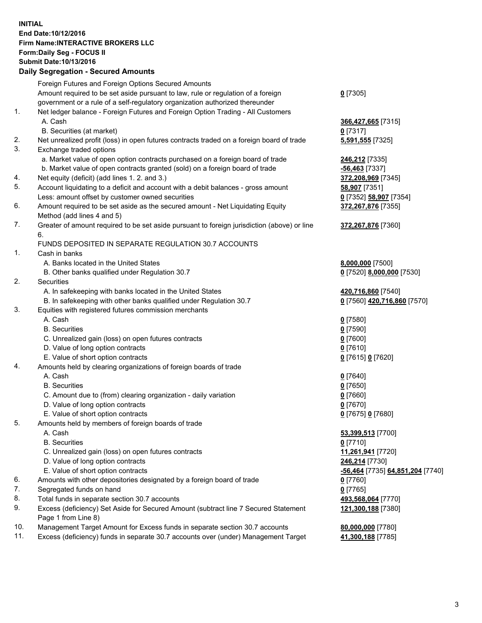## **INITIAL End Date:10/12/2016 Firm Name:INTERACTIVE BROKERS LLC Form:Daily Seg - FOCUS II Submit Date:10/13/2016 Daily Segregation - Secured Amounts**

|     | Daily Jegregation - Jeculed Aniounts                                                        |                                  |
|-----|---------------------------------------------------------------------------------------------|----------------------------------|
|     | Foreign Futures and Foreign Options Secured Amounts                                         |                                  |
|     | Amount required to be set aside pursuant to law, rule or regulation of a foreign            | $0$ [7305]                       |
|     | government or a rule of a self-regulatory organization authorized thereunder                |                                  |
| 1.  | Net ledger balance - Foreign Futures and Foreign Option Trading - All Customers             |                                  |
|     | A. Cash                                                                                     | 366,427,665 [7315]               |
|     | B. Securities (at market)                                                                   | $0$ [7317]                       |
| 2.  | Net unrealized profit (loss) in open futures contracts traded on a foreign board of trade   | 5,591,555 [7325]                 |
| 3.  | Exchange traded options                                                                     |                                  |
|     | a. Market value of open option contracts purchased on a foreign board of trade              | 246,212 [7335]                   |
|     | b. Market value of open contracts granted (sold) on a foreign board of trade                | $-56,463$ [7337]                 |
| 4.  | Net equity (deficit) (add lines 1. 2. and 3.)                                               | 372,208,969 [7345]               |
| 5.  | Account liquidating to a deficit and account with a debit balances - gross amount           | 58,907 [7351]                    |
|     | Less: amount offset by customer owned securities                                            | 0 [7352] 58,907 [7354]           |
| 6.  | Amount required to be set aside as the secured amount - Net Liquidating Equity              | 372,267,876 [7355]               |
|     | Method (add lines 4 and 5)                                                                  |                                  |
| 7.  | Greater of amount required to be set aside pursuant to foreign jurisdiction (above) or line | 372,267,876 [7360]               |
|     | 6.                                                                                          |                                  |
|     | FUNDS DEPOSITED IN SEPARATE REGULATION 30.7 ACCOUNTS                                        |                                  |
| 1.  | Cash in banks                                                                               |                                  |
|     | A. Banks located in the United States                                                       | 8,000,000 [7500]                 |
|     | B. Other banks qualified under Regulation 30.7                                              | 0 [7520] 8,000,000 [7530]        |
| 2.  | Securities                                                                                  |                                  |
|     | A. In safekeeping with banks located in the United States                                   | 420,716,860 [7540]               |
|     | B. In safekeeping with other banks qualified under Regulation 30.7                          | 0 [7560] 420,716,860 [7570]      |
| 3.  | Equities with registered futures commission merchants                                       |                                  |
|     | A. Cash                                                                                     | $0$ [7580]                       |
|     | <b>B.</b> Securities                                                                        | $0$ [7590]                       |
|     | C. Unrealized gain (loss) on open futures contracts                                         | $0$ [7600]                       |
|     | D. Value of long option contracts                                                           | $0$ [7610]                       |
|     | E. Value of short option contracts                                                          | 0 [7615] 0 [7620]                |
| 4.  | Amounts held by clearing organizations of foreign boards of trade                           |                                  |
|     | A. Cash                                                                                     | $0$ [7640]                       |
|     | <b>B.</b> Securities                                                                        | $0$ [7650]                       |
|     | C. Amount due to (from) clearing organization - daily variation                             | $0$ [7660]                       |
|     | D. Value of long option contracts                                                           | $0$ [7670]                       |
|     | E. Value of short option contracts                                                          | 0 [7675] 0 [7680]                |
| 5.  | Amounts held by members of foreign boards of trade                                          |                                  |
|     | A. Cash                                                                                     | 53,399,513 [7700]                |
|     | <b>B.</b> Securities                                                                        | $0$ [7710]                       |
|     | C. Unrealized gain (loss) on open futures contracts                                         | 11,261,941 [7720]                |
|     | D. Value of long option contracts                                                           | 246,214 [7730]                   |
|     | E. Value of short option contracts                                                          | -56,464 [7735] 64,851,204 [7740] |
| 6.  | Amounts with other depositories designated by a foreign board of trade                      | $0$ [7760]                       |
| 7.  | Segregated funds on hand                                                                    | $0$ [7765]                       |
| 8.  | Total funds in separate section 30.7 accounts                                               | 493,568,064 [7770]               |
| 9.  | Excess (deficiency) Set Aside for Secured Amount (subtract line 7 Secured Statement         | 121,300,188 [7380]               |
|     | Page 1 from Line 8)                                                                         |                                  |
| 10. | Management Target Amount for Excess funds in separate section 30.7 accounts                 | 80,000,000 [7780]                |
| 11. | Excess (deficiency) funds in separate 30.7 accounts over (under) Management Target          | 41,300,188 [7785]                |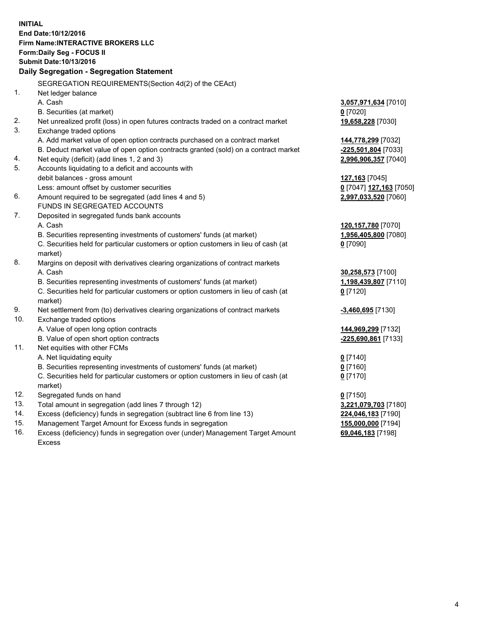**INITIAL End Date:10/12/2016 Firm Name:INTERACTIVE BROKERS LLC Form:Daily Seg - FOCUS II Submit Date:10/13/2016 Daily Segregation - Segregation Statement** SEGREGATION REQUIREMENTS(Section 4d(2) of the CEAct) 1. Net ledger balance A. Cash **3,057,971,634** [7010] B. Securities (at market) **0** [7020] 2. Net unrealized profit (loss) in open futures contracts traded on a contract market **19,658,228** [7030] 3. Exchange traded options A. Add market value of open option contracts purchased on a contract market **144,778,299** [7032] B. Deduct market value of open option contracts granted (sold) on a contract market **-225,501,804** [7033] 4. Net equity (deficit) (add lines 1, 2 and 3) **2,996,906,357** [7040] 5. Accounts liquidating to a deficit and accounts with debit balances - gross amount **127,163** [7045] Less: amount offset by customer securities **0** [7047] **127,163** [7050] 6. Amount required to be segregated (add lines 4 and 5) **2,997,033,520** [7060] FUNDS IN SEGREGATED ACCOUNTS 7. Deposited in segregated funds bank accounts A. Cash **120,157,780** [7070] B. Securities representing investments of customers' funds (at market) **1,956,405,800** [7080] C. Securities held for particular customers or option customers in lieu of cash (at market) **0** [7090] 8. Margins on deposit with derivatives clearing organizations of contract markets A. Cash **30,258,573** [7100] B. Securities representing investments of customers' funds (at market) **1,198,439,807** [7110] C. Securities held for particular customers or option customers in lieu of cash (at market) **0** [7120] 9. Net settlement from (to) derivatives clearing organizations of contract markets **-3,460,695** [7130] 10. Exchange traded options A. Value of open long option contracts **144,969,299** [7132] B. Value of open short option contracts **-225,690,861** [7133] 11. Net equities with other FCMs A. Net liquidating equity **0** [7140] B. Securities representing investments of customers' funds (at market) **0** [7160] C. Securities held for particular customers or option customers in lieu of cash (at market) **0** [7170] 12. Segregated funds on hand **0** [7150] 13. Total amount in segregation (add lines 7 through 12) **3,221,079,703** [7180] 14. Excess (deficiency) funds in segregation (subtract line 6 from line 13) **224,046,183** [7190] 15. Management Target Amount for Excess funds in segregation **155,000,000** [7194]

16. Excess (deficiency) funds in segregation over (under) Management Target Amount Excess

**69,046,183** [7198]